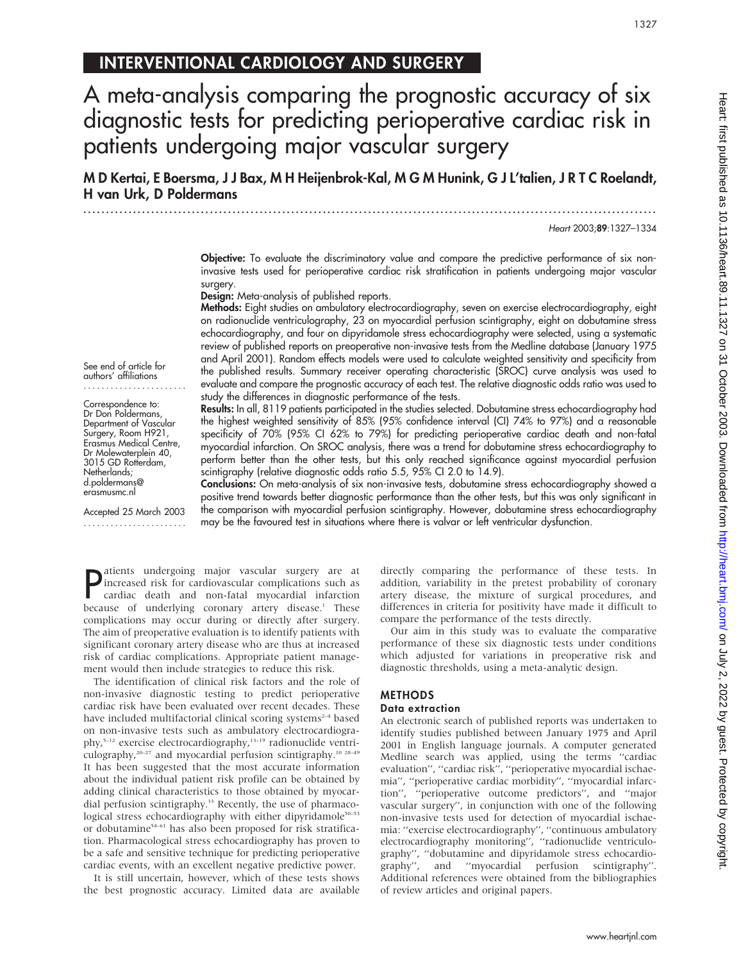# INTERVENTIONAL CARDIOLOGY AND SURGERY

A meta-analysis comparing the prognostic accuracy of six diagnostic tests for predicting perioperative cardiac risk in patients undergoing major vascular surgery

M D Kertai, E Boersma, J J Bax, M H Heijenbrok-Kal, M G M Hunink, G J L'talien, J R T C Roelandt, H van Urk, D Poldermans

.............................................................................................................................. .

Heart 2003;89:1327–1334

Objective: To evaluate the discriminatory value and compare the predictive performance of six noninvasive tests used for perioperative cardiac risk stratification in patients undergoing major vascular surgery.

Design: Meta-analysis of published reports.

Methods: Eight studies on ambulatory electrocardiography, seven on exercise electrocardiography, eight on radionuclide ventriculography, 23 on myocardial perfusion scintigraphy, eight on dobutamine stress echocardiography, and four on dipyridamole stress echocardiography were selected, using a systematic review of published reports on preoperative non-invasive tests from the Medline database (January 1975 and April 2001). Random effects models were used to calculate weighted sensitivity and specificity from the published results. Summary receiver operating characteristic (SROC) curve analysis was used to evaluate and compare the prognostic accuracy of each test. The relative diagnostic odds ratio was used to study the differences in diagnostic performance of the tests.

Results: In all, 8119 patients participated in the studies selected. Dobutamine stress echocardiography had the highest weighted sensitivity of 85% (95% confidence interval (CI) 74% to 97%) and a reasonable specificity of 70% (95% CI 62% to 79%) for predicting perioperative cardiac death and non-fatal myocardial infarction. On SROC analysis, there was a trend for dobutamine stress echocardiography to perform better than the other tests, but this only reached significance against myocardial perfusion scintigraphy (relative diagnostic odds ratio 5.5, 95% CI 2.0 to 14.9).

Conclusions: On meta-analysis of six non-invasive tests, dobutamine stress echocardiography showed a positive trend towards better diagnostic performance than the other tests, but this was only significant in the comparison with myocardial perfusion scintigraphy. However, dobutamine stress echocardiography may be the favoured test in situations where there is valvar or left ventricular dysfunction.

See end of article for authors' affiliations .......................

Correspondence to: Dr Don Poldermans, Department of Vascular Surgery, Room H921, Erasmus Medical Centre, Dr Molewaterplein 40, 3015 GD Rotterdam, Netherlands; d.poldermans@ erasmusmc.nl

Accepted 25 March 2003 .......................

**P** atients undergoing major vascular surgery are at increased risk for cardiovascular complications such as cardiac death and non-fatal myocardial infarction increased risk for cardiovascular complications such as cardiac death and non-fatal myocardial infarction because of underlying coronary artery disease.<sup>1</sup> These complications may occur during or directly after surgery. The aim of preoperative evaluation is to identify patients with significant coronary artery disease who are thus at increased risk of cardiac complications. Appropriate patient management would then include strategies to reduce this risk.

The identification of clinical risk factors and the role of non-invasive diagnostic testing to predict perioperative cardiac risk have been evaluated over recent decades. These have included multifactorial clinical scoring systems $2-4$  based on non-invasive tests such as ambulatory electrocardiography,<sup>5-12</sup> exercise electrocardiography,<sup>13-19</sup> radionuclide ventriculography,<sup>20–27</sup> and myocardial perfusion scintigraphy.<sup>10</sup> <sup>28–49</sup> It has been suggested that the most accurate information about the individual patient risk profile can be obtained by adding clinical characteristics to those obtained by myocardial perfusion scintigraphy.<sup>33</sup> Recently, the use of pharmacological stress echocardiography with either dipyridamole<sup>50-53</sup> or dobutamine<sup>54-61</sup> has also been proposed for risk stratification. Pharmacological stress echocardiography has proven to be a safe and sensitive technique for predicting perioperative cardiac events, with an excellent negative predictive power.

It is still uncertain, however, which of these tests shows the best prognostic accuracy. Limited data are available directly comparing the performance of these tests. In addition, variability in the pretest probability of coronary artery disease, the mixture of surgical procedures, and differences in criteria for positivity have made it difficult to compare the performance of the tests directly.

Our aim in this study was to evaluate the comparative performance of these six diagnostic tests under conditions which adjusted for variations in preoperative risk and diagnostic thresholds, using a meta-analytic design.

# METHODS

#### Data extraction

An electronic search of published reports was undertaken to identify studies published between January 1975 and April 2001 in English language journals. A computer generated Medline search was applied, using the terms ''cardiac evaluation", "cardiac risk", "perioperative myocardial ischaemia'', ''perioperative cardiac morbidity'', ''myocardial infarction'', ''perioperative outcome predictors'', and ''major vascular surgery'', in conjunction with one of the following non-invasive tests used for detection of myocardial ischaemia: ''exercise electrocardiography'', ''continuous ambulatory electrocardiography monitoring'', ''radionuclide ventriculography'', ''dobutamine and dipyridamole stress echocardiography'', and ''myocardial perfusion scintigraphy''. Additional references were obtained from the bibliographies of review articles and original papers.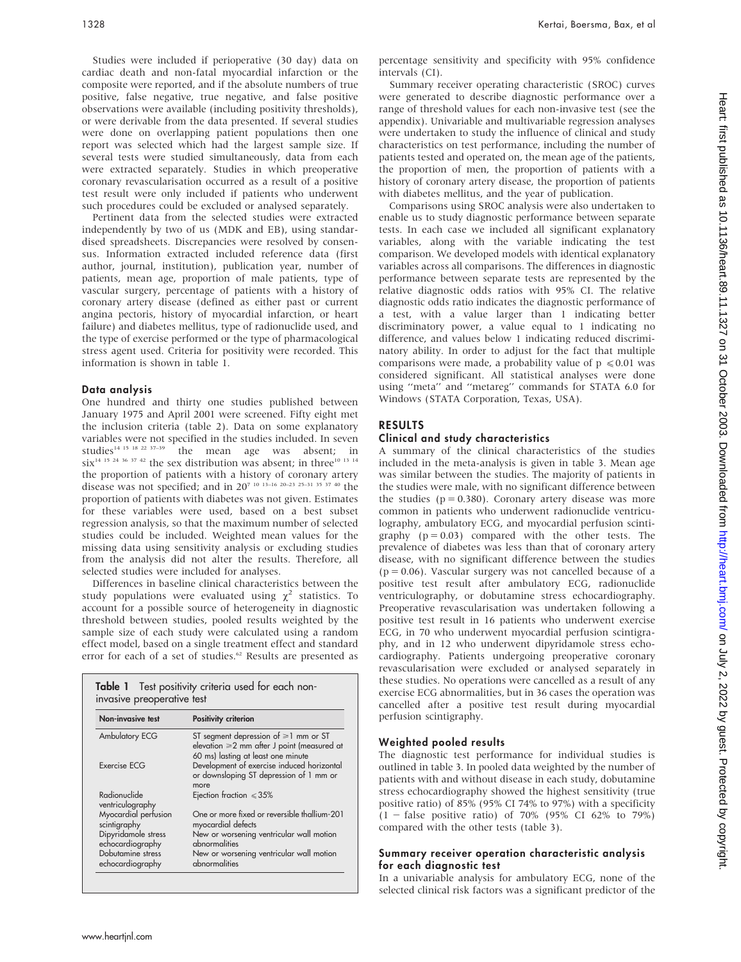Studies were included if perioperative (30 day) data on cardiac death and non-fatal myocardial infarction or the composite were reported, and if the absolute numbers of true positive, false negative, true negative, and false positive observations were available (including positivity thresholds), or were derivable from the data presented. If several studies were done on overlapping patient populations then one report was selected which had the largest sample size. If several tests were studied simultaneously, data from each were extracted separately. Studies in which preoperative coronary revascularisation occurred as a result of a positive test result were only included if patients who underwent such procedures could be excluded or analysed separately.

Pertinent data from the selected studies were extracted independently by two of us (MDK and EB), using standardised spreadsheets. Discrepancies were resolved by consensus. Information extracted included reference data (first author, journal, institution), publication year, number of patients, mean age, proportion of male patients, type of vascular surgery, percentage of patients with a history of coronary artery disease (defined as either past or current angina pectoris, history of myocardial infarction, or heart failure) and diabetes mellitus, type of radionuclide used, and the type of exercise performed or the type of pharmacological stress agent used. Criteria for positivity were recorded. This information is shown in table 1.

#### Data analysis

One hundred and thirty one studies published between January 1975 and April 2001 were screened. Fifty eight met the inclusion criteria (table 2). Data on some explanatory variables were not specified in the studies included. In seven studies<sup>14 15 18 22 37-39</sup> the mean age was absent; in  $\sin^{14}$  <sup>15</sup> <sup>24</sup> <sup>36</sup> <sup>37</sup> <sup>42</sup> the sex distribution was absent; in three<sup>10 13</sup> <sup>14</sup> the proportion of patients with a history of coronary artery disease was not specified; and in  $20^{7}$  <sup>10 13–16</sup> 20–23 25–31 35 37 40 the proportion of patients with diabetes was not given. Estimates for these variables were used, based on a best subset regression analysis, so that the maximum number of selected studies could be included. Weighted mean values for the missing data using sensitivity analysis or excluding studies from the analysis did not alter the results. Therefore, all selected studies were included for analyses.

Differences in baseline clinical characteristics between the study populations were evaluated using  $\chi^2$  statistics. To account for a possible source of heterogeneity in diagnostic threshold between studies, pooled results weighted by the sample size of each study were calculated using a random effect model, based on a single treatment effect and standard error for each of a set of studies.<sup>62</sup> Results are presented as

**Table 1** Test positivity criteria used for each noninvasive preoperative test Non-invasive test Positivity criterion Ambulatory ECG ST segment depression of  $\geq 1$  mm or ST elevation  $\geq 2$  mm after J point (measured at 60 ms) lasting at least one minute Exercise ECG Development of exercise induced horizontal or downsloping ST depression of 1 mm or more Radionuclide ventriculography Eiection fraction  $\leq 35\%$ Myocardial perfusion scintigraphy One or more fixed or reversible thallium-201 myocardial defects Dipyridamole stress echocardiography New or worsening ventricular wall motion abnormalities Dobutamine stress echocardiography New or worsening ventricular wall motion abnormalities

percentage sensitivity and specificity with 95% confidence intervals (CI).

Summary receiver operating characteristic (SROC) curves were generated to describe diagnostic performance over a range of threshold values for each non-invasive test (see the appendix). Univariable and multivariable regression analyses were undertaken to study the influence of clinical and study characteristics on test performance, including the number of patients tested and operated on, the mean age of the patients, the proportion of men, the proportion of patients with a history of coronary artery disease, the proportion of patients with diabetes mellitus, and the year of publication.

Comparisons using SROC analysis were also undertaken to enable us to study diagnostic performance between separate tests. In each case we included all significant explanatory variables, along with the variable indicating the test comparison. We developed models with identical explanatory variables across all comparisons. The differences in diagnostic performance between separate tests are represented by the relative diagnostic odds ratios with 95% CI. The relative diagnostic odds ratio indicates the diagnostic performance of a test, with a value larger than 1 indicating better discriminatory power, a value equal to 1 indicating no difference, and values below 1 indicating reduced discriminatory ability. In order to adjust for the fact that multiple comparisons were made, a probability value of  $p \le 0.01$  was considered significant. All statistical analyses were done using ''meta'' and ''metareg'' commands for STATA 6.0 for Windows (STATA Corporation, Texas, USA).

# RESULTS

## Clinical and study characteristics

A summary of the clinical characteristics of the studies included in the meta-analysis is given in table 3. Mean age was similar between the studies. The majority of patients in the studies were male, with no significant difference between the studies ( $p = 0.380$ ). Coronary artery disease was more common in patients who underwent radionuclide ventriculography, ambulatory ECG, and myocardial perfusion scintigraphy  $(p = 0.03)$  compared with the other tests. The prevalence of diabetes was less than that of coronary artery disease, with no significant difference between the studies  $(p = 0.06)$ . Vascular surgery was not cancelled because of a positive test result after ambulatory ECG, radionuclide ventriculography, or dobutamine stress echocardiography. Preoperative revascularisation was undertaken following a positive test result in 16 patients who underwent exercise ECG, in 70 who underwent myocardial perfusion scintigraphy, and in 12 who underwent dipyridamole stress echocardiography. Patients undergoing preoperative coronary revascularisation were excluded or analysed separately in these studies. No operations were cancelled as a result of any exercise ECG abnormalities, but in 36 cases the operation was cancelled after a positive test result during myocardial perfusion scintigraphy.

# Weighted pooled results

The diagnostic test performance for individual studies is outlined in table 3. In pooled data weighted by the number of patients with and without disease in each study, dobutamine stress echocardiography showed the highest sensitivity (true positive ratio) of 85% (95% CI 74% to 97%) with a specificity  $(1 - false positive ratio)$  of 70% (95% CI 62% to 79%) compared with the other tests (table 3).

## Summary receiver operation characteristic analysis for each diagnostic test

In a univariable analysis for ambulatory ECG, none of the selected clinical risk factors was a significant predictor of the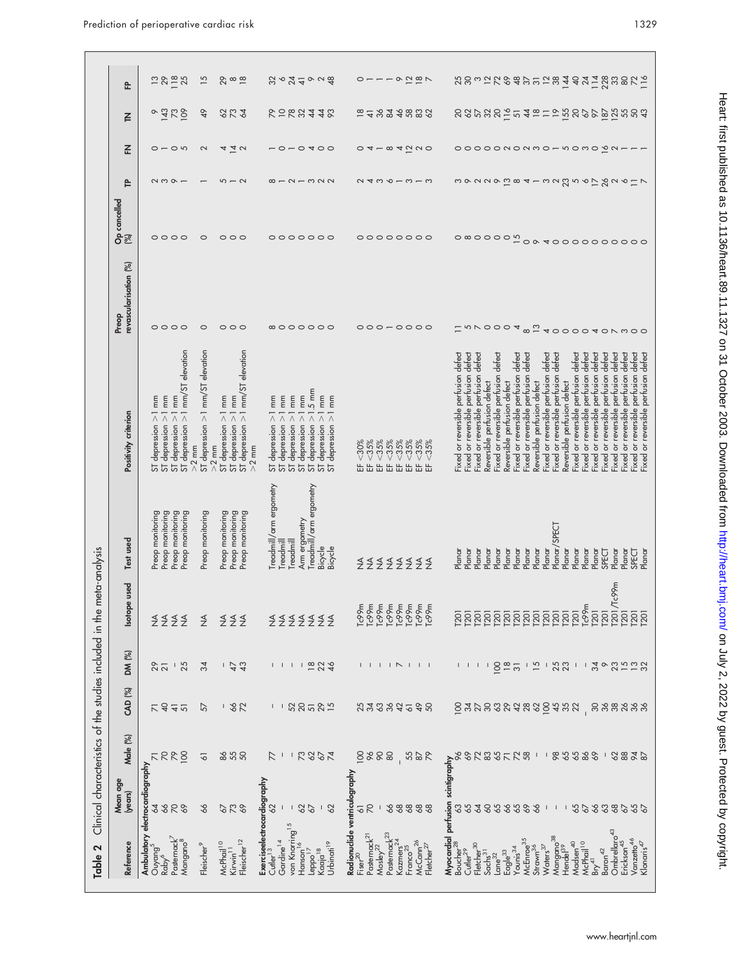|                                                                       | 운                              | $\frac{28}{28}$                                                                                    | $\overline{15}$                                                                                                                                                   | 29<br>$\frac{\infty}{2}$                                                                                                                         | 29.849999                                                                                                                                                                                                                                                                                                                                                                                                                                        | 0---0227                                                                                                                                                                                                                                                                                                                                                                                                                                                                                                                                                                                                                                                                            | 88 m 2 R & \$ B 5 2 8 3 4 8 8 2 2 8 8 8 K 2                                                                                                                                                                                                                                                                                                                                                                                                                                                                                                                                                                                                                                                                                                                                                             |
|-----------------------------------------------------------------------|--------------------------------|----------------------------------------------------------------------------------------------------|-------------------------------------------------------------------------------------------------------------------------------------------------------------------|--------------------------------------------------------------------------------------------------------------------------------------------------|--------------------------------------------------------------------------------------------------------------------------------------------------------------------------------------------------------------------------------------------------------------------------------------------------------------------------------------------------------------------------------------------------------------------------------------------------|-------------------------------------------------------------------------------------------------------------------------------------------------------------------------------------------------------------------------------------------------------------------------------------------------------------------------------------------------------------------------------------------------------------------------------------------------------------------------------------------------------------------------------------------------------------------------------------------------------------------------------------------------------------------------------------|---------------------------------------------------------------------------------------------------------------------------------------------------------------------------------------------------------------------------------------------------------------------------------------------------------------------------------------------------------------------------------------------------------------------------------------------------------------------------------------------------------------------------------------------------------------------------------------------------------------------------------------------------------------------------------------------------------------------------------------------------------------------------------------------------------|
|                                                                       | N                              | $\frac{43}{72}$                                                                                    | $\frac{6}{7}$                                                                                                                                                     | 373                                                                                                                                              | <b>20234422</b>                                                                                                                                                                                                                                                                                                                                                                                                                                  |                                                                                                                                                                                                                                                                                                                                                                                                                                                                                                                                                                                                                                                                                     | 88588254812258555888                                                                                                                                                                                                                                                                                                                                                                                                                                                                                                                                                                                                                                                                                                                                                                                    |
|                                                                       | 준                              | $0 - 06$                                                                                           | $\mathbf 2$                                                                                                                                                       | $\overline{4}$ $\overline{4}$ $\overline{6}$                                                                                                     | $-0 - 0 400$                                                                                                                                                                                                                                                                                                                                                                                                                                     | $04 - \omega 4$ $\overline{a}$ $\omega$                                                                                                                                                                                                                                                                                                                                                                                                                                                                                                                                                                                                                                             | ooooononno-nonopn-                                                                                                                                                                                                                                                                                                                                                                                                                                                                                                                                                                                                                                                                                                                                                                                      |
|                                                                       | 은                              | $\sim$ $\sim$ $\sim$ $-$                                                                           |                                                                                                                                                                   | $5 - 2$                                                                                                                                          | $\infty - \infty - \infty \infty$                                                                                                                                                                                                                                                                                                                                                                                                                | $\mathcal{Q} \rightarrow \mathcal{Q} \rightarrow \mathcal{Q} \rightarrow \mathcal{Q} \rightarrow \mathcal{Q} \rightarrow \mathcal{Q} \rightarrow \mathcal{Q} \rightarrow \mathcal{Q} \rightarrow \mathcal{Q} \rightarrow \mathcal{Q} \rightarrow \mathcal{Q} \rightarrow \mathcal{Q} \rightarrow \mathcal{Q} \rightarrow \mathcal{Q} \rightarrow \mathcal{Q} \rightarrow \mathcal{Q} \rightarrow \mathcal{Q} \rightarrow \mathcal{Q} \rightarrow \mathcal{Q} \rightarrow \mathcal{Q} \rightarrow \mathcal{Q} \rightarrow \mathcal{Q} \rightarrow \mathcal{Q} \rightarrow \mathcal{Q} \rightarrow \mathcal{Q} \rightarrow \mathcal{Q} \rightarrow \mathcal{Q} \rightarrow \mathcal{$ | 3922938413236702617                                                                                                                                                                                                                                                                                                                                                                                                                                                                                                                                                                                                                                                                                                                                                                                     |
|                                                                       | Op cancelled<br>(%)            | $\circ\circ\circ\circ$                                                                             | $\circ$                                                                                                                                                           | $\circ \circ \circ$                                                                                                                              | 0000000                                                                                                                                                                                                                                                                                                                                                                                                                                          | 00000000                                                                                                                                                                                                                                                                                                                                                                                                                                                                                                                                                                                                                                                                            |                                                                                                                                                                                                                                                                                                                                                                                                                                                                                                                                                                                                                                                                                                                                                                                                         |
|                                                                       | revascularisation (%)<br>Preop | $\circ \circ \circ \circ$                                                                          | $\circ$                                                                                                                                                           | $\circ \circ \circ$                                                                                                                              | $\begin{array}{c} \circ \\ \circ \\ \circ \circ \circ \circ \circ \circ \circ \circ \end{array}$                                                                                                                                                                                                                                                                                                                                                 | $000 - 0000$                                                                                                                                                                                                                                                                                                                                                                                                                                                                                                                                                                                                                                                                        | 00004<br>$x^{\text{m}}$ 4000040 $\times$ 00                                                                                                                                                                                                                                                                                                                                                                                                                                                                                                                                                                                                                                                                                                                                                             |
|                                                                       |                                |                                                                                                    |                                                                                                                                                                   |                                                                                                                                                  |                                                                                                                                                                                                                                                                                                                                                                                                                                                  |                                                                                                                                                                                                                                                                                                                                                                                                                                                                                                                                                                                                                                                                                     |                                                                                                                                                                                                                                                                                                                                                                                                                                                                                                                                                                                                                                                                                                                                                                                                         |
|                                                                       | Positivity criterion           | mm<br>$\mathop{\rm mm}\limits$<br>mm<br>depression > 1<br>ST depression $>1$<br>ST depression $>1$ | mm/ST elevation<br>mm/ST elevation<br>$ST$ depression $>1$<br>$\begin{array}{l} \mathrm{ST~depression} > 1\\ \mathrm{ST~depression} > 1\\ \end{array}$<br>$>2$ mm | ST depression $>1$ mm/ST elevation<br>$\mathop{\rm mm}\nolimits$<br>$\overline{\rm mm}$<br>$ST$ depression $>1$<br>ST depression $>1$<br>$>2$ mm | $\begin{tabular}{ c c } \hline 51 \text{ deprission} > 1 \text{ mm} \\ \hline 51 \text{ deprission} > 1 \text{ mm} \\ \hline 51 \text{ deprission} > 1 \text{ mm} \\ \hline 51 \text{ deprission} > 1 \text{ mm} \\ \hline 51 \text{ deprission} > 1 \text{ mm} \\ \hline 51 \text{ deprission} > 1 \text{ mm} \\ \hline 51 \text{ deprission} > 1 \text{ mm} \\ \hline 51 \text{ deprission} > 1 \text{ mm} \\ \hline \end{tabular}$<br>$>2$ mm | $<\!35\%$<br>$<\!35\%$<br>~135%<br>$<\!35\%$<br>$<\!35\%$<br>$<\!30\%$<br>$<\!35\%$<br>66666666                                                                                                                                                                                                                                                                                                                                                                                                                                                                                                                                                                                     | Fixed or reversible perfusion defect<br>Fixed or reversible perfusion defect<br>Fixed or reversible perfusion defect<br>perfusion defect<br>Fixed or reversible perfusion defect<br>Fixed or reversible perfusion defect<br>Fixed or reversible perfusion defect<br>Fixed or reversible perfusion defect<br>Fixed or reversible perfusion defect<br>Fixed or reversible perfusion defect<br>Fixed or reversible perfusion defect<br>Fixed or reversible perfusion defect<br>or reversible perfusion defect<br>or reversible perfusion defect<br>Fixed or reversible perfusion defect<br>perfusion defect<br>Reversible perfusion defect<br>Reversible perfusion defect<br>Reversible perfusion defect<br>Reversible perfusion defect<br>Fixed or reversible<br>or reversible<br>Fixed<br>Fixed<br>Fixed |
|                                                                       | Test used                      | Preop monitoring<br>Preop monitoring<br>Preop monitoring                                           | Preop monitoring<br>Preop monitoring                                                                                                                              | Preop monitoring<br>Preop monitoring<br>Preop monitoring                                                                                         | Treadmill/arm ergometry<br>Treadmill/arm ergometry<br>Arm ergometry<br>Treadmill<br>Treadmil<br>Bicycle<br>Bicycle                                                                                                                                                                                                                                                                                                                               | 222222                                                                                                                                                                                                                                                                                                                                                                                                                                                                                                                                                                                                                                                                              | Planar/SPECT<br>Planar<br>Planar<br>Planar<br>Planar<br>Planar<br>Planar<br>Planar<br>Planar<br>Planar<br>Planar<br>Planar<br>Planar<br>Planar<br>Planar<br>Planar<br>SPECT<br>Planar<br>SPECT<br>Planar                                                                                                                                                                                                                                                                                                                                                                                                                                                                                                                                                                                                |
|                                                                       |                                |                                                                                                    |                                                                                                                                                                   |                                                                                                                                                  |                                                                                                                                                                                                                                                                                                                                                                                                                                                  |                                                                                                                                                                                                                                                                                                                                                                                                                                                                                                                                                                                                                                                                                     |                                                                                                                                                                                                                                                                                                                                                                                                                                                                                                                                                                                                                                                                                                                                                                                                         |
|                                                                       | Isotope used                   | 2222                                                                                               | $\frac{4}{2}$                                                                                                                                                     | ZZZ                                                                                                                                              | <b>AAAAAAA</b><br>ZZZZZZZ                                                                                                                                                                                                                                                                                                                                                                                                                        | Tc99m<br>Tc99m<br>Tc99m<br>Tc99m<br>Tc99m<br>Tc99m                                                                                                                                                                                                                                                                                                                                                                                                                                                                                                                                                                                                                                  | Tc99m<br>T201<br>T201<br>T201/Tc99m<br>T201<br><b>[20]</b><br>T201<br>ន្តន្តន្តន្តន្តន្តន្តន្ត                                                                                                                                                                                                                                                                                                                                                                                                                                                                                                                                                                                                                                                                                                          |
|                                                                       | DM (%)                         | $25 - 25$                                                                                          | $\mathfrak{A}$                                                                                                                                                    | $\frac{1}{4}$                                                                                                                                    | 1824<br>$\mathbf{I}$<br>$\mathbf{L}$                                                                                                                                                                                                                                                                                                                                                                                                             | $\overline{1}$<br>-1                                                                                                                                                                                                                                                                                                                                                                                                                                                                                                                                                                                                                                                                | $8°\overline{5}$<br>$15 - 23$<br>みっぺにいな<br>$\mathbf{I}$<br>$\mathbf{I}$                                                                                                                                                                                                                                                                                                                                                                                                                                                                                                                                                                                                                                                                                                                                 |
|                                                                       | CAD <sup>(%)</sup>             | 545                                                                                                | 5                                                                                                                                                                 | 87                                                                                                                                               | 38585<br>$\vert \ \ \vert$                                                                                                                                                                                                                                                                                                                                                                                                                       | 33333588                                                                                                                                                                                                                                                                                                                                                                                                                                                                                                                                                                                                                                                                            | $53253333335333$                                                                                                                                                                                                                                                                                                                                                                                                                                                                                                                                                                                                                                                                                                                                                                                        |
|                                                                       | Male (%)                       | 222                                                                                                | $\overline{\circ}$                                                                                                                                                | 858                                                                                                                                              | <b>7357</b><br>K.<br>$\mathbf{I}$                                                                                                                                                                                                                                                                                                                                                                                                                | 5888<br>5878<br>$\overline{1}$                                                                                                                                                                                                                                                                                                                                                                                                                                                                                                                                                                                                                                                      | \$R\$3578<br>85588<br>3825<br>$\mathbf{I}$                                                                                                                                                                                                                                                                                                                                                                                                                                                                                                                                                                                                                                                                                                                                                              |
| Clinical characteristics of the studies included in the meta-analysis | Mean age<br>(years)            | electrocardiography<br>828                                                                         | $\delta$                                                                                                                                                          | 578                                                                                                                                              | 62<br>67<br>$\frac{1}{62}$<br>$\overline{\phantom{a}}$                                                                                                                                                                                                                                                                                                                                                                                           | $\overline{2}$<br>\$ \$ \$ \$ \$                                                                                                                                                                                                                                                                                                                                                                                                                                                                                                                                                                                                                                                    | 65<br>65<br>$\delta$<br>65<br>$\delta$<br>588<br>323335                                                                                                                                                                                                                                                                                                                                                                                                                                                                                                                                                                                                                                                                                                                                                 |
| Table 2                                                               | Reference                      | Ambulatory<br>Pasternack <sup>7</sup><br>Ouyang <sup>5</sup><br>Raby <sup>6</sup>                  | Mangano <sup>8</sup><br>Fleischer <sup>9</sup>                                                                                                                    | Fleischer <sup>12</sup><br>McPhail <sup>10</sup><br>Kim <sup>11</sup>                                                                            | ${\sf Exercise}$ lectrocardiography $\zeta_{\rm Otler}^{\rm 13}$<br>von Knorring <sup>15</sup><br>Gardine <sup>14</sup><br>Urbinati <sup>19</sup><br>Hanson <sup>16</sup><br>Leppo <sup>17</sup><br>Kaaja <sup>18</sup>                                                                                                                                                                                                                          | Radionuclide ventriculography<br>Fiser <sup>20</sup><br>Pasternack <sup>23</sup><br>Kazmers <sup>24</sup><br>Franco <sup>25</sup><br>Pasternack <sup>21</sup><br>Mosley <sup>22</sup><br>$\begin{array}{l} \mathsf{McConn}^{26} \\ \mathsf{Flether}^{27} \end{array}$                                                                                                                                                                                                                                                                                                                                                                                                               | My ocardial perfusion scintigraphy<br>Boucher $^{28}_{63}$ 63<br>Ombrellaro <sup>43</sup><br>Mangano <sup>38</sup><br>Hendel <sup>39</sup><br>McEnroe <sup>35</sup><br>Strawn <sup>36</sup><br>$V$ anzetto <sup>46</sup><br>Klonaris <sup>47</sup><br>Erickson <sup>45</sup><br>Madsen <sup>40</sup><br>McPhail <sup>10</sup><br>Boucher <sup>28</sup><br>Cutler <sup>29</sup><br>${\begin{array}{c} \displaystyle{\textsf{Fletcher}}^{\displaystyle{30}} \\ \displaystyle{\textsf{Sochs}}^{\displaystyle{31}} \\ \displaystyle{\textsf{Lone}}^{\displaystyle{32}} \end{array}}$<br>$W$ aters <sup>37</sup><br>Younis <sup>34</sup><br>$\text{Baron}^{42}$<br>Eagle <sup>33</sup><br>$B_{\gamma}^{41}$                                                                                                  |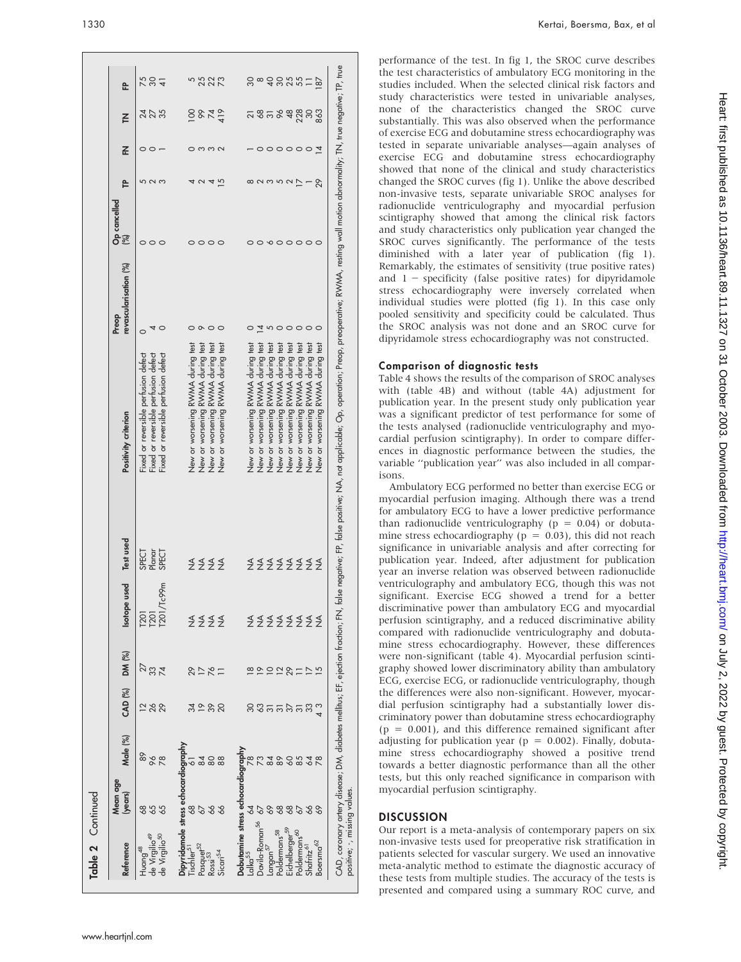| Table 2 Continued                                                                                                                   |                                                                                 |                   |                    |                                |                                                                         |                           |                                                                                                                                                                                                |                                |                                    |                                                   |                                            |                         |               |
|-------------------------------------------------------------------------------------------------------------------------------------|---------------------------------------------------------------------------------|-------------------|--------------------|--------------------------------|-------------------------------------------------------------------------|---------------------------|------------------------------------------------------------------------------------------------------------------------------------------------------------------------------------------------|--------------------------------|------------------------------------|---------------------------------------------------|--------------------------------------------|-------------------------|---------------|
| Reference                                                                                                                           | Mean age<br>(years)                                                             | Male (%)          | CAD <sub>(%)</sub> | DM (%)                         | used<br><b>Isotope</b>                                                  | Test used                 | Positivity criterion                                                                                                                                                                           | revascularisation (%)<br>Preop | Op cancelled<br>(%)                | 은                                                 | <u> 준</u>                                  | 순<br>W                  |               |
| de Virgilio <sup>50</sup><br>de Virgilio <sup>49</sup><br>Huang <sup>48</sup>                                                       | 65<br>89                                                                        | 89<br>86          | 288                | 23<br>23<br>24                 | Ic99m<br>$\begin{array}{c} 7201 \\ 1201 \\ 1201 \end{array}$            | Planar<br>SPECT<br>SPECT  | Fixed or reversible pertusion detect<br>Fixed or reversible perfusion defect<br>Fixed or reversible perfusion defect                                                                           | $\circ$                        | $\circ$<br>$\circ$<br>$\circ$      |                                                   | $\circ$ $\circ$                            | <b>222</b>              | 584           |
| Pasquet <sup>52</sup><br>Rossi <sup>53</sup><br>Tischler <sup>51</sup><br>Sicari <sup>54</sup>                                      | Dipyridamole stress echocardiography<br>8588                                    | 2888              | 3988               | 22222                          | $\begin{array}{c}\n 4 \leq \leq \leq \\ 2 \leq \leq \leq\n \end{array}$ | 2222                      | RWMA during test<br>New or worsening RWMA during test<br>New or worsening RWMA during test<br>during test<br>New or worsening RWMA<br>New or worsening                                         | $\circ$<br>$\circ$<br>$\circ$  | $\circ$<br>$\circ$                 | $\sim$<br>$\overline{c}$<br>4                     | က က<br>$\mathbf 2$                         | $rac{4}{8}7\frac{4}{8}$ | 58273         |
| Davila-Roman <sup>56</sup><br>Langan <sup>57</sup><br>Poldermans <sup>58</sup><br>Eichelberger <sup>59</sup><br>Lalka <sup>55</sup> | Dobutamine stress echocardiography<br>67<br>\$88588                             | 288828<br>8<br>73 | g 3 n n b n g      | $\frac{\infty}{\infty}$<br>228 | <b>AAAAAAAA</b><br>ZZZZZZZZ                                             | <b>AAAAAAA</b><br>ZZZZZZZ | New or worsening RWMA during test<br>New or worsening RWMA during test<br>during test<br>during test<br>New or worsening RWMA during test<br>RWWA<br>New or worsening RWMA<br>New or worsening | 4                              | $\circ$ $\circ$ $\circ$<br>$\circ$ | $\infty$<br>$\mathbf{\Omega}$<br>S<br>5<br>5<br>2 | $\circ \circ \circ \circ \circ$<br>$\circ$ |                         | 8°988851      |
| Poldermans <sup>60</sup><br>Boersma <sup>62</sup><br>Shafriiz <sup>61</sup>                                                         |                                                                                 |                   | 43                 | $=$ $\geq$<br>$\overline{15}$  |                                                                         | $\leq$                    | during test<br>New or worsening RWMA during test<br>during test<br>New or worsening RWMA<br>RWMA<br>or worsening<br>New                                                                        |                                | $\circ \circ \circ$                | $\geq$<br>29                                      | $\overline{4}$                             | 863                     | $\frac{8}{2}$ |
| positive; -, missing values                                                                                                         | CAD, coronary artery disease; DM, diabetes mellitus; EF, ejection fraction; FN, |                   |                    |                                |                                                                         |                           | false negative; FP, false positive; NA, not applicable; Op, operation; Preop, preoperative; RWMA, resting wall motion abnormality; TN, true negative; TP, true                                 |                                |                                    |                                                   |                                            |                         |               |

performance of the test. In fig 1, the SROC curve describes the test characteristics of ambulatory ECG monitoring in the studies included. When the selected clinical risk factors and study characteristics were tested in univariable analyses, none of the characteristics changed the SROC curve substantially. This was also observed when the performance of exercise ECG and dobutamine stress echocardiography was tested in separate univariable analyses—again analyses of exercise ECG and dobutamine stress echocardiography showed that none of the clinical and study characteristics changed the SROC curves (fig 1). Unlike the above described non-invasive tests, separate univariable SROC analyses for radionuclide ventriculography and myocardial perfusion scintigraphy showed that among the clinical risk factors and study characteristics only publication year changed the SROC curves significantly. The performance of the tests diminished with a later year of publication (fig 1). Remarkably, the estimates of sensitivity (true positive rates) and  $1$  – specificity (false positive rates) for dipyridamole stress echocardiography were inversely correlated when individual studies were plotted (fig 1). In this case only pooled sensitivity and specificity could be calculated. Thus the SROC analysis was not done and an SROC curve for dipyridamole stress echocardiography was not constructed.

# Comparison of diagnostic tests

Table 4 shows the results of the comparison of SROC analyses with (table 4B) and without (table 4A) adjustment for publication year. In the present study only publication year was a significant predictor of test performance for some of the tests analysed (radionuclide ventriculography and myocardial perfusion scintigraphy). In order to compare differences in diagnostic performance between the studies, the variable ''publication year'' was also included in all comparisons.

Ambulatory ECG performed no better than exercise ECG or myocardial perfusion imaging. Although there was a trend for ambulatory ECG to have a lower predictive performance than radionuclide ventriculography  $(p = 0.04)$  or dobutamine stress echocardiography ( $p = 0.03$ ), this did not reach significance in univariable analysis and after correcting for publication year. Indeed, after adjustment for publication year an inverse relation was observed between radionuclide ventriculography and ambulatory ECG, though this was not significant. Exercise ECG showed a trend for a better discriminative power than ambulatory ECG and myocardial perfusion scintigraphy, and a reduced discriminative ability compared with radionuclide ventriculography and dobutamine stress echocardiography. However, these differences were non-significant (table 4). Myocardial perfusion scintigraphy showed lower discriminatory ability than ambulatory ECG, exercise ECG, or radionuclide ventriculography, though the differences were also non-significant. However, myocardial perfusion scintigraphy had a substantially lower discriminatory power than dobutamine stress echocardiography  $(p = 0.001)$ , and this difference remained significant after adjusting for publication year ( $p = 0.002$ ). Finally, dobutamine stress echocardiography showed a positive trend towards a better diagnostic performance than all the other tests, but this only reached significance in comparison with myocardial perfusion scintigraphy.

#### **DISCUSSION**

Our report is a meta-analysis of contemporary papers on six non-invasive tests used for preoperative risk stratification in patients selected for vascular surgery. We used an innovative meta-analytic method to estimate the diagnostic accuracy of these tests from multiple studies. The accuracy of the tests is presented and compared using a summary ROC curve, and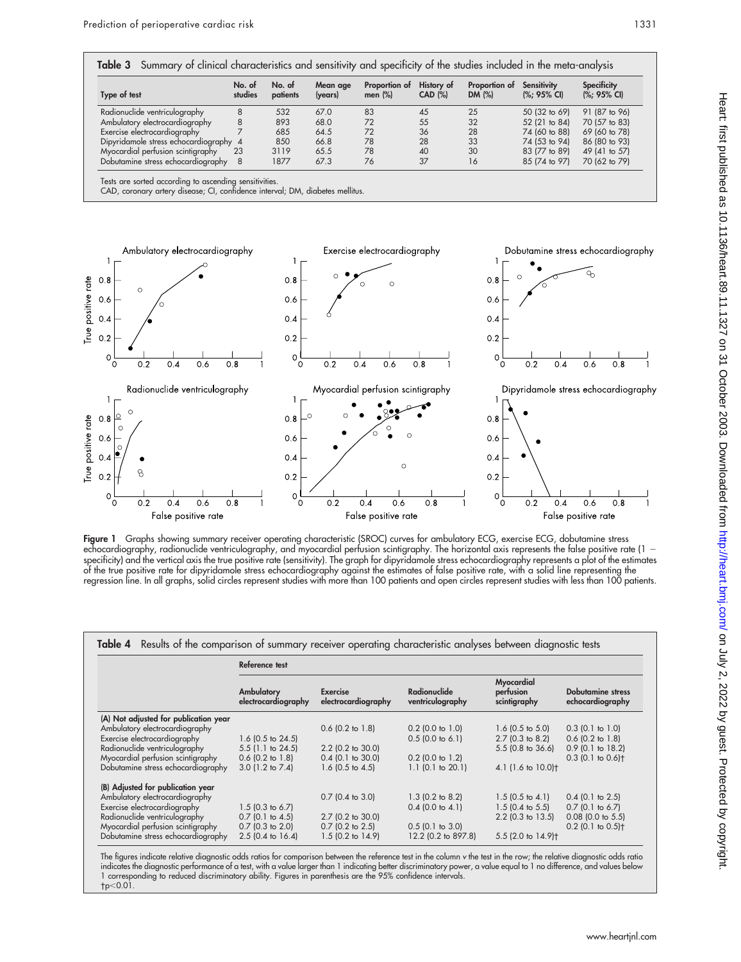Table 3 Summary of clinical characteristics and sensitivity and specificity of the studies included in the meta-analysis

| Type of test                           | No. of<br>studies | No. of<br>patients | Mean age<br>(years) | Proportion of<br>men $(\%)$ | History of<br><b>CAD (%)</b> | Proportion of<br>DM (%) | Sensitivity<br>$\frac{1}{6}$ ; 95% CI) | <b>Specificity</b><br>$\frac{1}{6}$ 95% CI) |
|----------------------------------------|-------------------|--------------------|---------------------|-----------------------------|------------------------------|-------------------------|----------------------------------------|---------------------------------------------|
| Radionuclide ventriculography          | 8                 | 532                | 67.0                | 83                          | 45                           | 25                      | 50 (32 to 69)                          | 91 (87 to 96)                               |
| Ambulatory electrocardiography         | 8                 | 893                | 68.0                | 72                          | 55                           | 32                      | 52 (21 to 84)                          | 70 (57 to 83)                               |
| Exercise electrocardiography           |                   | 685                | 64.5                | 72                          | 36                           | 28                      | 74 (60 to 88)                          | 69 (60 to 78)                               |
| Dipyridamole stress echocardiography 4 |                   | 850                | 66.8                | 78                          | 28                           | 33                      | 74 (53 to 94)                          | 86 (80 to 93)                               |
| Myocardial perfusion scintigraphy      | 23                | 3119               | 65.5                | 78                          | 40                           | 30                      | 83 (77 to 89)                          | 49 (41 to 57)                               |
| Dobutamine stress echocardiography     | 8                 | 1877               | 67.3                | 76                          | 37                           | 16                      | 85 (74 to 97)                          | 70 (62 to 79)                               |

Tests are sorted according to ascending sensitivities.

CAD, coronary artery disease; CI, confidence interval; DM, diabetes mellitus.



**Figure 1** Graphs showing summary receiver operating characteristic (SROC) curves tor ambulatory ECG, exercise ECG, dobutamine stress echocardiography, radionuclide ventriculography, and myocardial perfusion scintigraphy. The horizontal axis represents the false positive rate (1 – specificity) and the vertical axis the true positive rate (sensitivity). The graph for dipyridamole stress echocardiography represents a plot of the estimates of the true positive rate for dipyridamole stress echocardiography against the estimates of false positive rate, with a solid line representing the regression line. In all graphs, solid circles represent studies with more than 100 patients and open circles represent studies with less than 100 patients.

|  | <b>Table 4</b> Results of the comparison of summary receiver operating characteristic analyses between diagnostic tests |  |  |  |
|--|-------------------------------------------------------------------------------------------------------------------------|--|--|--|
|  |                                                                                                                         |  |  |  |

|                                       | Reference test                    |                                 |                                  |                                           |                                              |
|---------------------------------------|-----------------------------------|---------------------------------|----------------------------------|-------------------------------------------|----------------------------------------------|
|                                       | Ambulatory<br>electrocardiography | Exercise<br>electrocardiography | Radionuclide<br>ventriculography | Myocardial<br>perfusion<br>scintigraphy   | <b>Dobutamine</b> stress<br>echocardiography |
| (A) Not adjusted for publication year |                                   |                                 |                                  |                                           |                                              |
| Ambulatory electrocardiography        |                                   | $0.6$ (0.2 to 1.8)              | $0.2$ (0.0 to 1.0)               | 1.6 $(0.5 \text{ to } 5.0)$               | $0.3$ (0.1 to 1.0)                           |
| Exercise electrocardiography          | 1.6 $(0.5$ to 24.5)               |                                 | $0.5$ (0.0 to 6.1)               | $2.7$ (0.3 to 8.2)                        | $0.6$ (0.2 to 1.8)                           |
| Radionuclide ventriculography         | $5.5$ (1.1 to 24.5)               | $2.2$ (0.2 to 30.0)             |                                  | $5.5$ (0.8 to 36.6)                       | $0.9$ (0.1 to 18.2)                          |
| Myocardial perfusion scintigraphy     | $0.6$ (0.2 to 1.8)                | $0.4$ (0.1 to 30.0)             | $0.2$ (0.0 to 1.2)               |                                           | $0.3$ (0.1 to $0.6$ ) <sup>+</sup>           |
| Dobutamine stress echocardiography    | $3.0$ (1.2 to 7.4)                | 1.6 $(0.5$ to 4.5)              | $1.1$ (0.1 to 20.1)              | 4.1 $(1.6 \text{ to } 10.0)$ <sup>+</sup> |                                              |
| (B) Adjusted for publication year     |                                   |                                 |                                  |                                           |                                              |
| Ambulatory electrocardiography        |                                   | $0.7$ (0.4 to 3.0)              | $1.3$ (0.2 to 8.2)               | $1.5(0.5 \text{ to } 4.1)$                | $0.4$ (0.1 to 2.5)                           |
| Exercise electrocardiography          | $1.5$ (0.3 to 6.7)                |                                 | $0.4$ (0.0 to 4.1)               | $1.5$ (0.4 to 5.5)                        | $0.7$ (0.1 to 6.7)                           |
| Radionuclide ventriculography         | $0.7$ (0.1 to 4.5)                | $2.7$ (0.2 to 30.0)             |                                  | $2.2$ (0.3 to 13.5)                       | $0.08$ (0.0 to 5.5)                          |
| Myocardial perfusion scintigraphy     | $0.7$ (0.3 to 2.0)                | $0.7$ (0.2 to 2.5)              | $0.5$ (0.1 to 3.0)               |                                           | $0.2$ (0.1 to $0.5$ ) <sup>+</sup>           |
| Dobutamine stress echocardiography    | $2.5(0.4 \text{ to } 16.4)$       | $1.5$ (0.2 to $14.9$ )          | 12.2 (0.2 to 897.8)              | 5.5 (2.0 to 14.9) <sup>+</sup>            |                                              |

The figures indicate relative diagnostic odds ratios for comparison between the reference test in the column v the test in the row; the relative diagnostic odds ratio indicates the diagnostic performance of a test, with a value larger than 1 indicating better discriminatory power, a value equal to 1 no difference, and values below 1 corresponding to reduced discriminatory ability. Figures in parenthesis are the 95% confidence intervals.  $tp < 0.01$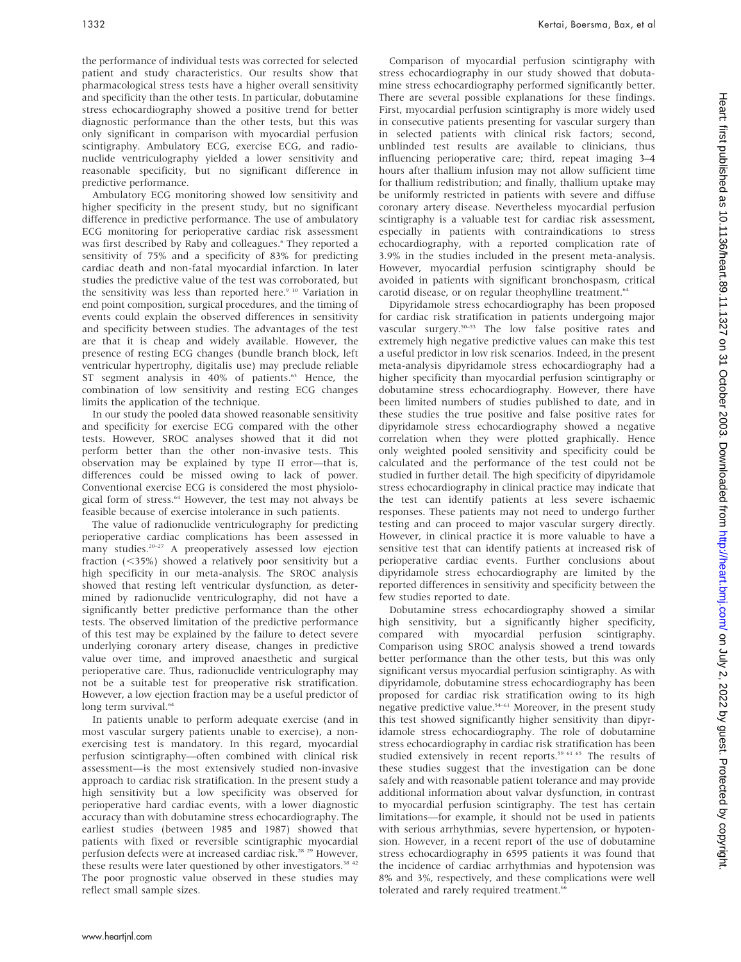the performance of individual tests was corrected for selected patient and study characteristics. Our results show that pharmacological stress tests have a higher overall sensitivity and specificity than the other tests. In particular, dobutamine stress echocardiography showed a positive trend for better diagnostic performance than the other tests, but this was only significant in comparison with myocardial perfusion scintigraphy. Ambulatory ECG, exercise ECG, and radionuclide ventriculography yielded a lower sensitivity and reasonable specificity, but no significant difference in predictive performance.

Ambulatory ECG monitoring showed low sensitivity and higher specificity in the present study, but no significant difference in predictive performance. The use of ambulatory ECG monitoring for perioperative cardiac risk assessment was first described by Raby and colleagues.<sup>6</sup> They reported a sensitivity of 75% and a specificity of 83% for predicting cardiac death and non-fatal myocardial infarction. In later studies the predictive value of the test was corroborated, but the sensitivity was less than reported here.<sup>9 10</sup> Variation in end point composition, surgical procedures, and the timing of events could explain the observed differences in sensitivity and specificity between studies. The advantages of the test are that it is cheap and widely available. However, the presence of resting ECG changes (bundle branch block, left ventricular hypertrophy, digitalis use) may preclude reliable ST segment analysis in 40% of patients.<sup>63</sup> Hence, the combination of low sensitivity and resting ECG changes limits the application of the technique.

In our study the pooled data showed reasonable sensitivity and specificity for exercise ECG compared with the other tests. However, SROC analyses showed that it did not perform better than the other non-invasive tests. This observation may be explained by type II error—that is, differences could be missed owing to lack of power. Conventional exercise ECG is considered the most physiological form of stress.<sup>64</sup> However, the test may not always be feasible because of exercise intolerance in such patients.

The value of radionuclide ventriculography for predicting perioperative cardiac complications has been assessed in many studies.<sup>20–27</sup> A preoperatively assessed low ejection fraction  $(<35\%)$  showed a relatively poor sensitivity but a high specificity in our meta-analysis. The SROC analysis showed that resting left ventricular dysfunction, as determined by radionuclide ventriculography, did not have a significantly better predictive performance than the other tests. The observed limitation of the predictive performance of this test may be explained by the failure to detect severe underlying coronary artery disease, changes in predictive value over time, and improved anaesthetic and surgical perioperative care. Thus, radionuclide ventriculography may not be a suitable test for preoperative risk stratification. However, a low ejection fraction may be a useful predictor of long term survival.<sup>64</sup>

In patients unable to perform adequate exercise (and in most vascular surgery patients unable to exercise), a nonexercising test is mandatory. In this regard, myocardial perfusion scintigraphy—often combined with clinical risk assessment—is the most extensively studied non-invasive approach to cardiac risk stratification. In the present study a high sensitivity but a low specificity was observed for perioperative hard cardiac events, with a lower diagnostic accuracy than with dobutamine stress echocardiography. The earliest studies (between 1985 and 1987) showed that patients with fixed or reversible scintigraphic myocardial perfusion defects were at increased cardiac risk.<sup>28</sup> <sup>29</sup> However, these results were later questioned by other investigators.<sup>38 42</sup> The poor prognostic value observed in these studies may reflect small sample sizes.

Comparison of myocardial perfusion scintigraphy with stress echocardiography in our study showed that dobutamine stress echocardiography performed significantly better. There are several possible explanations for these findings. First, myocardial perfusion scintigraphy is more widely used in consecutive patients presenting for vascular surgery than in selected patients with clinical risk factors; second, unblinded test results are available to clinicians, thus influencing perioperative care; third, repeat imaging 3–4 hours after thallium infusion may not allow sufficient time for thallium redistribution; and finally, thallium uptake may be uniformly restricted in patients with severe and diffuse coronary artery disease. Nevertheless myocardial perfusion scintigraphy is a valuable test for cardiac risk assessment, especially in patients with contraindications to stress echocardiography, with a reported complication rate of 3.9% in the studies included in the present meta-analysis. However, myocardial perfusion scintigraphy should be avoided in patients with significant bronchospasm, critical carotid disease, or on regular theophylline treatment.<sup>64</sup>

Dipyridamole stress echocardiography has been proposed for cardiac risk stratification in patients undergoing major vascular surgery.50–53 The low false positive rates and extremely high negative predictive values can make this test a useful predictor in low risk scenarios. Indeed, in the present meta-analysis dipyridamole stress echocardiography had a higher specificity than myocardial perfusion scintigraphy or dobutamine stress echocardiography. However, there have been limited numbers of studies published to date, and in these studies the true positive and false positive rates for dipyridamole stress echocardiography showed a negative correlation when they were plotted graphically. Hence only weighted pooled sensitivity and specificity could be calculated and the performance of the test could not be studied in further detail. The high specificity of dipyridamole stress echocardiography in clinical practice may indicate that the test can identify patients at less severe ischaemic responses. These patients may not need to undergo further testing and can proceed to major vascular surgery directly. However, in clinical practice it is more valuable to have a sensitive test that can identify patients at increased risk of perioperative cardiac events. Further conclusions about dipyridamole stress echocardiography are limited by the reported differences in sensitivity and specificity between the few studies reported to date.

Dobutamine stress echocardiography showed a similar high sensitivity, but a significantly higher specificity, compared with myocardial perfusion scintigraphy. Comparison using SROC analysis showed a trend towards better performance than the other tests, but this was only significant versus myocardial perfusion scintigraphy. As with dipyridamole, dobutamine stress echocardiography has been proposed for cardiac risk stratification owing to its high negative predictive value.<sup>54–61</sup> Moreover, in the present study this test showed significantly higher sensitivity than dipyridamole stress echocardiography. The role of dobutamine stress echocardiography in cardiac risk stratification has been studied extensively in recent reports.<sup>59 61 65</sup> The results of these studies suggest that the investigation can be done safely and with reasonable patient tolerance and may provide additional information about valvar dysfunction, in contrast to myocardial perfusion scintigraphy. The test has certain limitations—for example, it should not be used in patients with serious arrhythmias, severe hypertension, or hypotension. However, in a recent report of the use of dobutamine stress echocardiography in 6595 patients it was found that the incidence of cardiac arrhythmias and hypotension was 8% and 3%, respectively, and these complications were well tolerated and rarely required treatment.<sup>6</sup>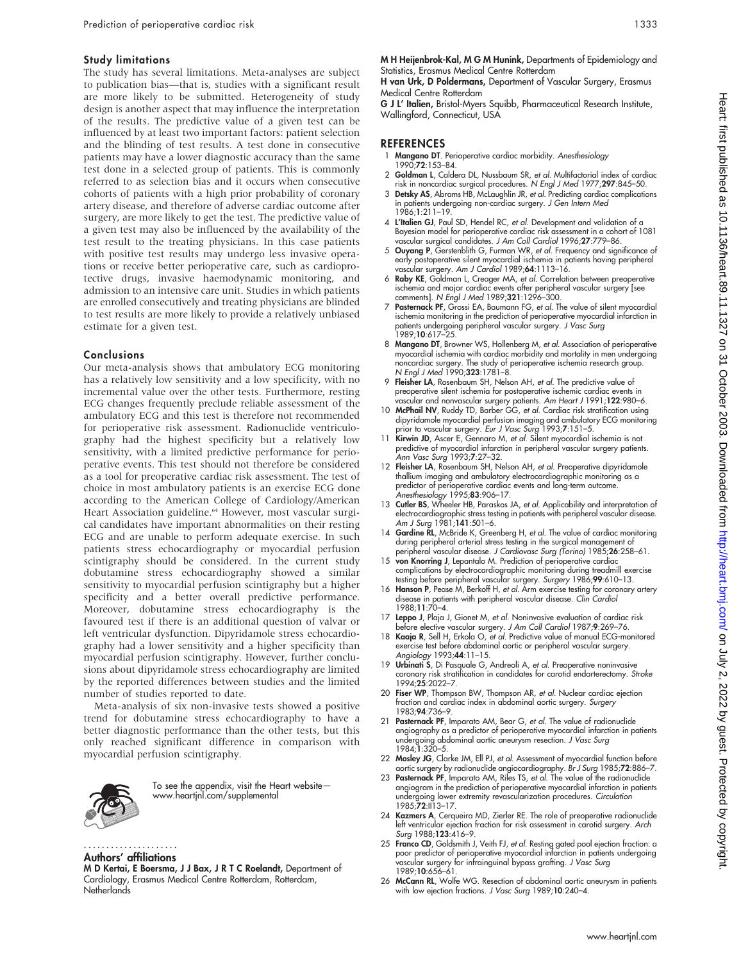#### Study limitations

The study has several limitations. Meta-analyses are subject to publication bias—that is, studies with a significant result are more likely to be submitted. Heterogeneity of study design is another aspect that may influence the interpretation of the results. The predictive value of a given test can be influenced by at least two important factors: patient selection and the blinding of test results. A test done in consecutive patients may have a lower diagnostic accuracy than the same test done in a selected group of patients. This is commonly referred to as selection bias and it occurs when consecutive cohorts of patients with a high prior probability of coronary artery disease, and therefore of adverse cardiac outcome after surgery, are more likely to get the test. The predictive value of a given test may also be influenced by the availability of the test result to the treating physicians. In this case patients with positive test results may undergo less invasive operations or receive better perioperative care, such as cardioprotective drugs, invasive haemodynamic monitoring, and admission to an intensive care unit. Studies in which patients are enrolled consecutively and treating physicians are blinded to test results are more likely to provide a relatively unbiased estimate for a given test.

#### Conclusions

Our meta-analysis shows that ambulatory ECG monitoring has a relatively low sensitivity and a low specificity, with no incremental value over the other tests. Furthermore, resting ECG changes frequently preclude reliable assessment of the ambulatory ECG and this test is therefore not recommended for perioperative risk assessment. Radionuclide ventriculography had the highest specificity but a relatively low sensitivity, with a limited predictive performance for perioperative events. This test should not therefore be considered as a tool for preoperative cardiac risk assessment. The test of choice in most ambulatory patients is an exercise ECG done according to the American College of Cardiology/American Heart Association guideline.<sup>64</sup> However, most vascular surgical candidates have important abnormalities on their resting ECG and are unable to perform adequate exercise. In such patients stress echocardiography or myocardial perfusion scintigraphy should be considered. In the current study dobutamine stress echocardiography showed a similar sensitivity to myocardial perfusion scintigraphy but a higher specificity and a better overall predictive performance. Moreover, dobutamine stress echocardiography is the favoured test if there is an additional question of valvar or left ventricular dysfunction. Dipyridamole stress echocardiography had a lower sensitivity and a higher specificity than myocardial perfusion scintigraphy. However, further conclusions about dipyridamole stress echocardiography are limited by the reported differences between studies and the limited number of studies reported to date.

Meta-analysis of six non-invasive tests showed a positive trend for dobutamine stress echocardiography to have a better diagnostic performance than the other tests, but this only reached significant difference in comparison with myocardial perfusion scintigraphy.



To see the appendix, visit the Heart website www.heartjnl.com/supplemental

Authors' affiliations .....................

M D Kertai, E Boersma, J J Bax, J R T C Roelandt, Department of Cardiology, Erasmus Medical Centre Rotterdam, Rotterdam, **Netherlands** 

M H Heijenbrok-Kal, M G M Hunink, Departments of Epidemiology and Statistics, Erasmus Medical Centre Rotterdam

H van Urk, D Poldermans, Department of Vascular Surgery, Erasmus Medical Centre Rotterdam

G J L' Italien, Bristol-Myers Squibb, Pharmaceutical Research Institute, Wallingford, Connecticut, USA

# **REFERENCES**

- 1 Mangano DT. Perioperative cardiac morbidity. Anesthesiology  $1990.72.153 - 84$
- 2 Goldman L, Caldera DL, Nussbaum SR, et al. Multifactorial index of cardiac risk in noncardiac surgical procedures. N Engl J Med 1977;297:845–50.
- 3 Detsky AS, Abrams HB, McLaughlin JR, et al. Predicting cardiac complications in patients undergoing non-cardiac surgery. J Gen Intern Med 1986;1:211–19.
- 4 L'Italien GJ, Paul SD, Hendel RC, et al. Development and validation of a Bayesian model for perioperative cardiac risk assessment in a cohort of 1081 vascular surgical candidates. J Am Coll Cardiol 1996;27:779–86.
- 5 Ouyang P, Gerstenblith G, Furman WR, et al. Frequency and significance of early postoperative silent myocardial ischemia in patients having peripheral vascular surgery. Am J Cardiol 1989;64:1113–16.
- 6 Raby KE, Goldman L, Creager MA, et al. Correlation between preoperative ischemia and major cardiac events after peripheral vascular surgery [see comments]. N Engl J Med 1989;321:1296-300.
- 7 Pasternack PF, Grossi EA, Baumann FG, et al. The value of silent myocardial ischemia monitoring in the prediction of perioperative myocardial infarction in patients undergoing peripheral vascular surgery. J Vasc Surg 1989;10:617–25.
- 8 Mangano DT, Browner WS, Hollenberg M, et al. Association of perioperative myocardial ischemia with cardiac morbidity and mortality in men undergoing noncardiac surgery. The study of perioperative ischemia research group. N Engl J Med 1990;323:1781–8.
- 9 Fleisher LA, Rosenbaum SH, Nelson AH, et al. The predictive value of preoperative silent ischemia for postoperative ischemic cardiac events in
- vascular and nonvascular surgery patients. Am Heart J 1991;122:980–6. 10 McPhail NV, Ruddy TD, Barber GG, et al. Cardiac risk stratification using dipyridamole myocardial perfusion imaging and ambulatory ECG monitoring<br>prior to vascular surgery. *Eur J Vasc Surg* 1993;7:151–5.<br>11 **Kirwin JD**, Ascer E, Gennaro M, *et al*. Silent myocardial ischemia is not
- predictive of myocardial infarction in peripheral vascular surgery patients. Ann Vasc Surg 1993;7:27–32.
- 12 Fleisher LA, Rosenbaum SH, Nelson AH, et al. Preoperative dipyridamole thallium imaging and ambulatory electrocardiographic monitoring as a predictor of perioperative cardiac events and long-term outcome. Anesthesiology 1995;**83**:906-17.
- 13 Cutler BS, Wheeler HB, Paraskos JA, et al. Applicability and interpretation of electrocardiographic stress testing in patients with peripheral vascular disease. Am J Surg 1981;141:501–6.
- 14 Gardine RL, McBride K, Greenberg H, et al. The value of cardiac monitoring during peripheral arterial stress testing in the surgical management of peripheral vascular disease. J Cardiovasc Surg (Torino) 1985;**26**:258–61.
- 15 von Knorring J, Lepantalo M. Prediction of perioperative cardiac complications by electrocardiographic monitoring during treadmill exercise testing before peripheral vascular surgery. Surgery 1986;99:610-13.
- 16 Hanson P, Pease M, Berkoff H, et al. Arm exercise testing for coronary artery disease in patients with peripheral vascular disease. Clin Cardiol 1988;11:70–4.
- 17 Leppo J, Plaja J, Gionet M, et al. Noninvasive evaluation of cardiac risk
- before elective vascular surgery. *J Am Coll Cardiol* 1987;9:269–76.<br>18 **Kaaja R**, Sell H, Erkola O, *et al*. Predictive value of manual ECG-monitored exercise test before abdominal aortic or peripheral vascular surgery.
- Angiology 1993;**44**:11–15.<br>19 **Urbinati S**, Di Pasquale G, Andreoli A, *et al.* Preoperative noninvasive coronary risk stratification in candidates for carotid endarterectomy. Stroke 1994;25:2022–7.
- 20 Fiser WP, Thompson BW, Thompson AR, et al. Nuclear cardiac ejection fraction and cardiac index in abdominal aortic surgery. Surgery 1983;94:736–9.
- 21 Pasternack PF, Imparato AM, Bear G, et al. The value of radionuclide angiography as a predictor of perioperative myocardial infarction in patients undergoing abdominal aortic aneurysm resection. J Vasc Surg 1984;1:320–5.
- 22 Mosley JG, Clarke JM, Ell PJ, et al. Assessment of myocardial function before aortic surgery by radionuclide angiocardiography. Br J Surg 1985;**72**:886–7.<br>23 **Pasternack PF**, Imparato AM, Riles TS, *et al.* The value of the radionuclide
- angiogram in the prediction of perioperative myocardial infarction in patients undergoing lower extremity revascularization procedures. Circulation 1985;72:II13–17.
- 24 Kazmers A, Cerqueira MD, Zierler RE. The role of preoperative radionuclide left ventricular ejection fraction for risk assessment in carotid surgery. Arch Surg 1988;123:416–9.
- 25 Franco CD, Goldsmith J, Veith FJ, et al. Resting gated pool ejection fraction: a poor predictor of perioperative myocardial infarction in patients undergoing vascular surgery for infrainguinal bypass grafting. J Vasc Surg 1989;10:656–61.
- 26 McCann RL, Wolfe WG. Resection of abdominal aortic aneurysm in patients with low ejection fractions. J Vasc Surg 1989;10:240–4.